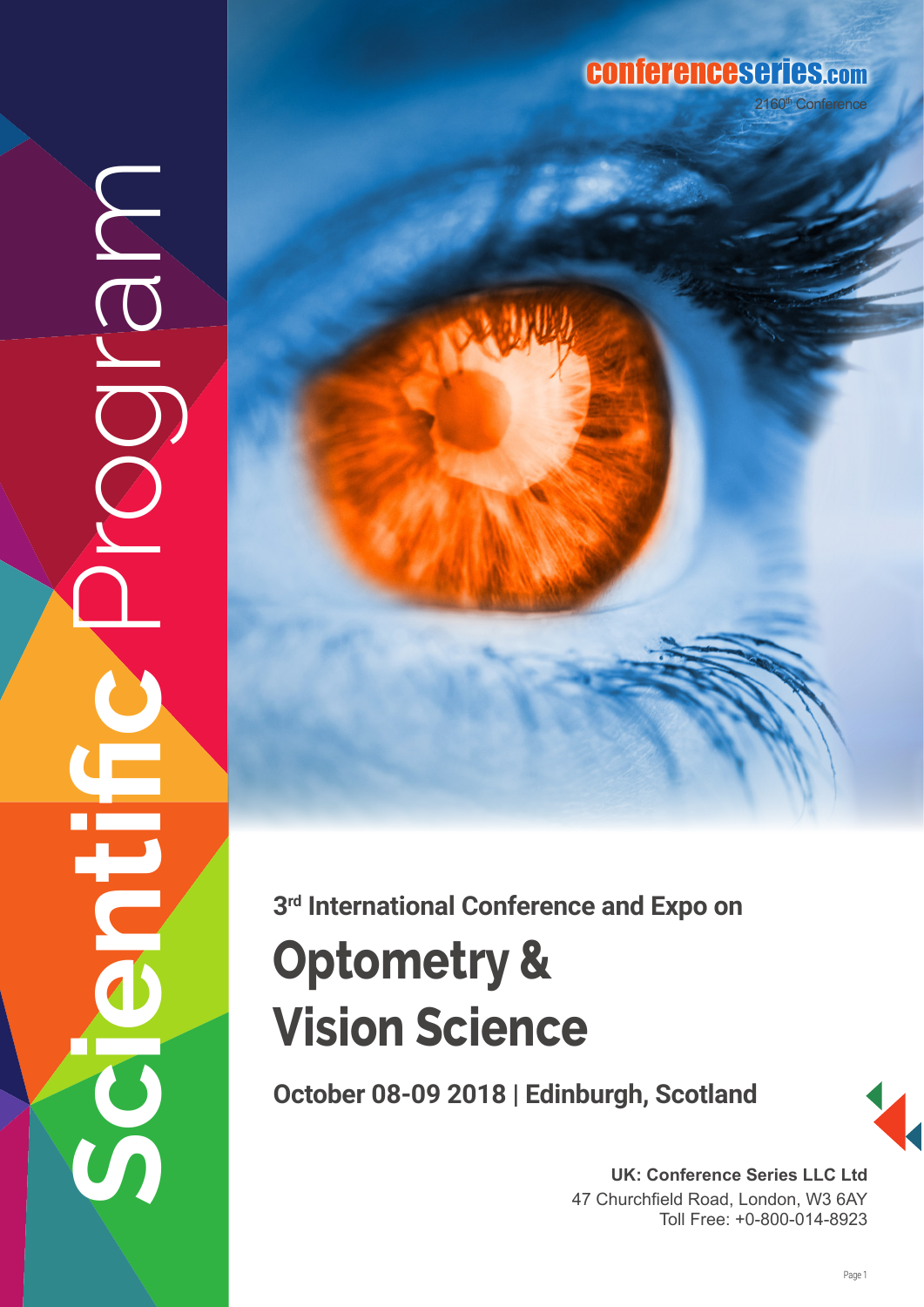## conferenceseries.com

**Scientific** Program  $\overline{O}$ 



**3rd International Conference and Expo on**

# **Optometry & Vision Science**

**October 08-09 2018 | Edinburgh, Scotland** 



**UK: Conference Series LLC Ltd** 47 Churchfield Road, London, W3 6AY Toll Free: +0-800-014-8923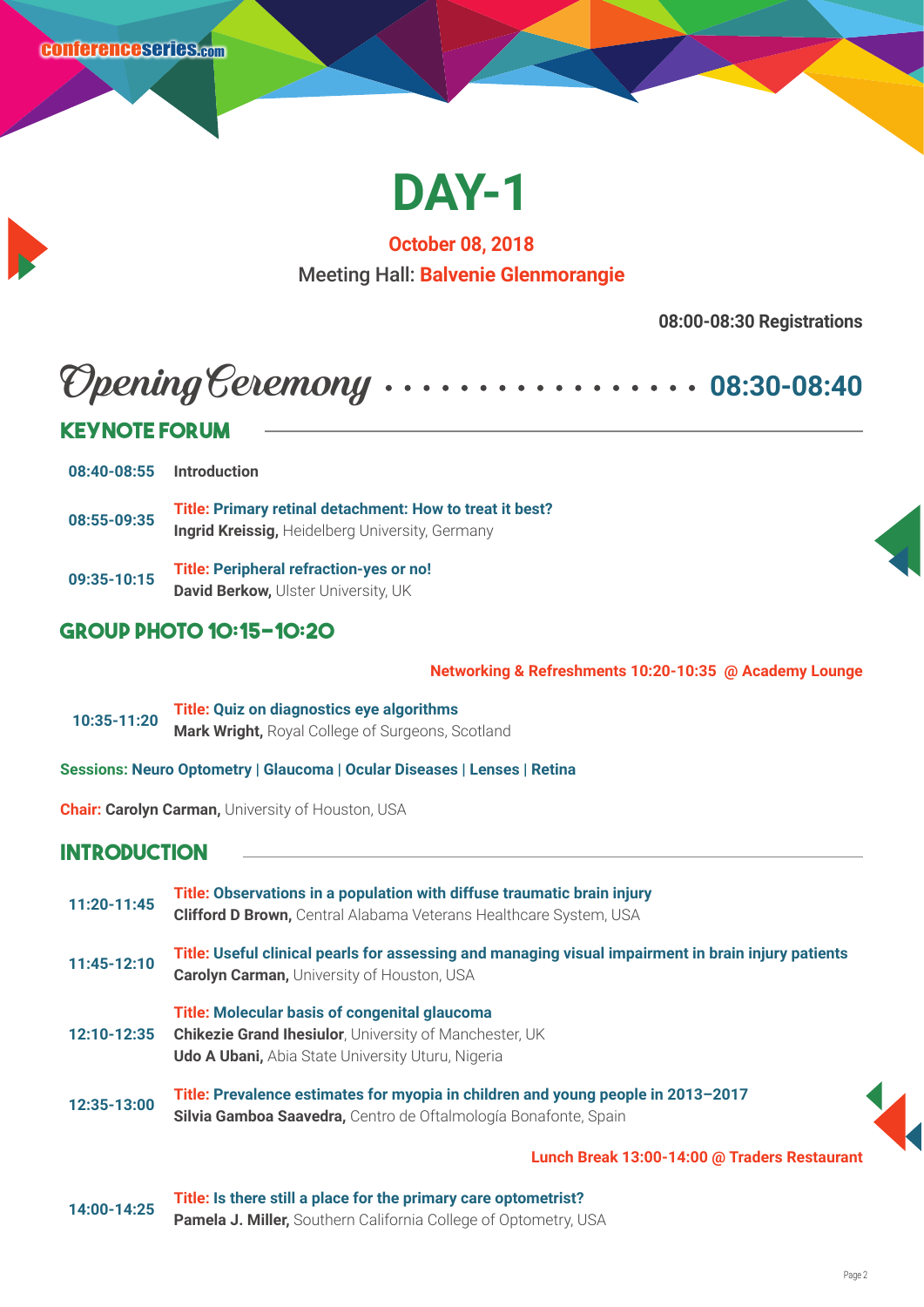

**October 08, 2018** Meeting Hall: **Balvenie Glenmorangie**

**08:00-08:30 Registrations**

## Opening Ceremony **08:30-08:40**

## **Keynote Forum**

**08:40-08:55 Introduction**

**08:55-09:35 Title: Primary retinal detachment: How to treat it best? Ingrid Kreissig,** Heidelberg University, Germany

**09:35-10:15 Title: Peripheral refraction-yes or no! David Berkow, Ulster University, UK** 

## **Group Photo 10:15-10:20**

**Networking & Refreshments 10:20-10:35 @ Academy Lounge** 

 **10:35-11:20 Title: Quiz on diagnostics eye algorithms Mark Wright,** Royal College of Surgeons, Scotland

**Sessions: Neuro Optometry | Glaucoma | Ocular Diseases | Lenses | Retina**

**Chair: Carolyn Carman, University of Houston, USA** 

## **Introduction**

| 11:20-11:45 | Title: Observations in a population with diffuse traumatic brain injury<br><b>Clifford D Brown, Central Alabama Veterans Healthcare System, USA</b>                                |  |
|-------------|------------------------------------------------------------------------------------------------------------------------------------------------------------------------------------|--|
| 11:45-12:10 | Title: Useful clinical pearls for assessing and managing visual impairment in brain injury patients<br><b>Carolyn Carman, University of Houston, USA</b>                           |  |
| 12:10-12:35 | <b>Title: Molecular basis of congenital glaucoma</b><br><b>Chikezie Grand Ihesiulor</b> , University of Manchester, UK<br><b>Udo A Ubani, Abia State University Uturu, Nigeria</b> |  |
| 12:35-13:00 | Title: Prevalence estimates for myopia in children and young people in 2013-2017<br>Silvia Gamboa Saavedra, Centro de Oftalmología Bonafonte, Spain                                |  |
|             | $\overline{1}$ in the Ducel, 19:00, 14:00 $\odot$ Tueleye Dectained.                                                                                                               |  |

**Lunch Break 13:00-14:00 @ Traders Restaurant** 

**14:00-14:25 Title: Is there still a place for the primary care optometrist? Pamela J. Miller,** Southern California College of Optometry, USA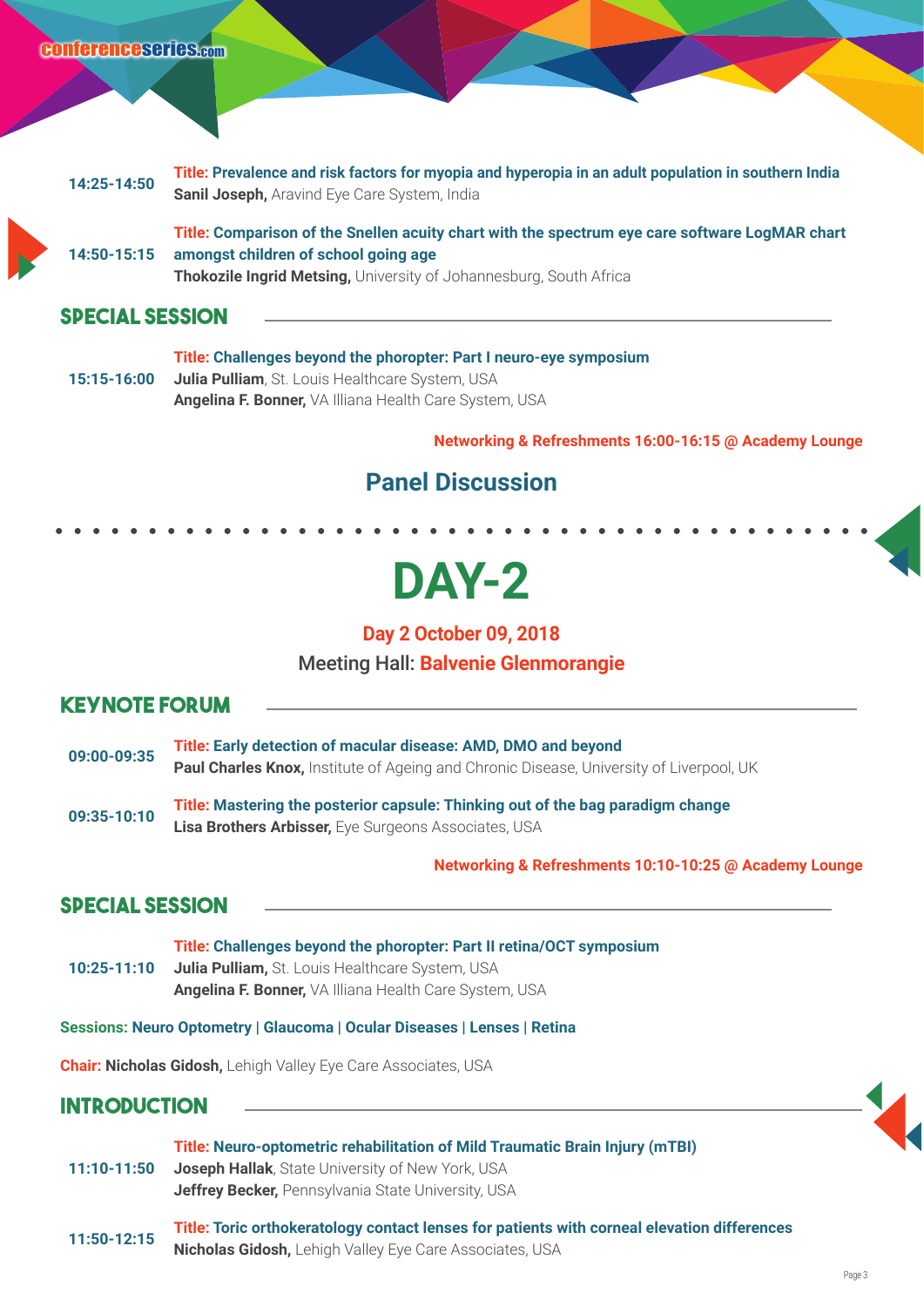



**14:50-15:15 Title: Comparison of the Snellen acuity chart with the spectrum eye care software LogMAR chart amongst children of school going age Thokozile Ingrid Metsing,** University of Johannesburg, South Africa

### **Special Session**

**15:15-16:00 Title: Challenges beyond the phoropter: Part I neuro-eye symposium Julia Pulliam**, St. Louis Healthcare System, USA **Angelina F. Bonner,** VA Illiana Health Care System, USA

**Networking & Refreshments 16:00-16:15 @ Academy Lounge**

## **Panel Discussion**

## **DAY-2**

**Day 2 October 09, 2018**

Meeting Hall: **Balvenie Glenmorangie**

### **Keynote Forum**

- **09:00-09:35 Title: Early detection of macular disease: AMD, DMO and beyond Paul Charles Knox,** Institute of Ageing and Chronic Disease, University of Liverpool, UK
- **09:35-10:10 Title: Mastering the posterior capsule: Thinking out of the bag paradigm change Lisa Brothers Arbisser,** Eye Surgeons Associates, USA

#### **Networking & Refreshments 10:10-10:25 @ Academy Lounge**

### **Special Session**

**10:25-11:10 Title: Challenges beyond the phoropter: Part II retina/OCT symposium Julia Pulliam,** St. Louis Healthcare System, USA **Angelina F. Bonner,** VA Illiana Health Care System, USA

**Sessions: Neuro Optometry | Glaucoma | Ocular Diseases | Lenses | Retina**

**Chair: Nicholas Gidosh,** Lehigh Valley Eye Care Associates, USA

### **Introduction**

- **11:10-11:50 Title: Neuro-optometric rehabilitation of Mild Traumatic Brain Injury (mTBI) Joseph Hallak**, State University of New York, USA **Jeffrey Becker,** Pennsylvania State University, USA
- **11:50-12:15 Title: Toric orthokeratology contact lenses for patients with corneal elevation differences Nicholas Gidosh,** Lehigh Valley Eye Care Associates, USA